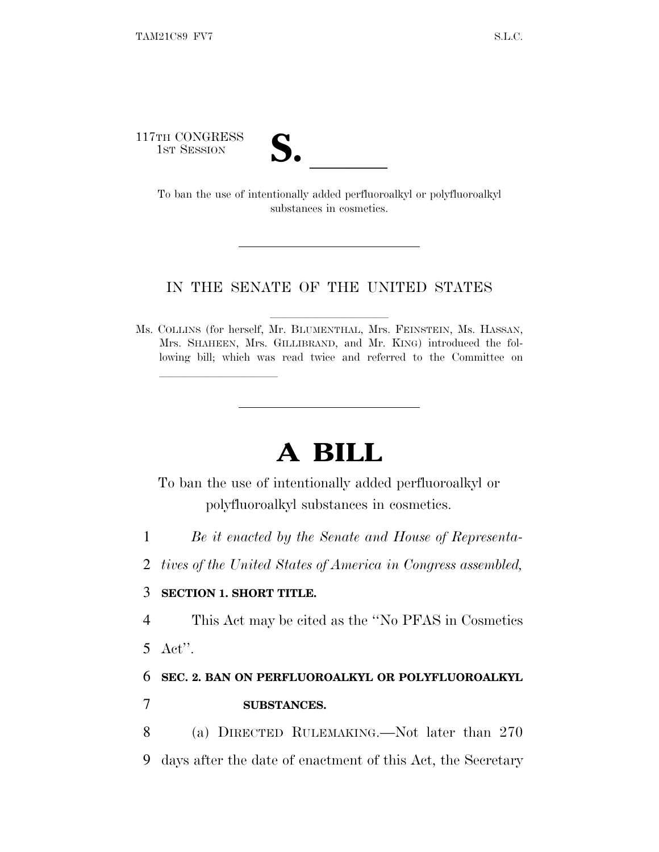117TH CONGRESS



TH CONGRESS<br>
1ST SESSION<br>
To ban the use of intentionally added perfluoroalkyl or polyfluoroalkyl substances in cosmetics.

## IN THE SENATE OF THE UNITED STATES

Ms. COLLINS (for herself, Mr. BLUMENTHAL, Mrs. FEINSTEIN, Ms. HASSAN, Mrs. SHAHEEN, Mrs. GILLIBRAND, and Mr. KING) introduced the following bill; which was read twice and referred to the Committee on

## **A BILL**

To ban the use of intentionally added perfluoroalkyl or polyfluoroalkyl substances in cosmetics.

- 1 *Be it enacted by the Senate and House of Representa-*
- 2 *tives of the United States of America in Congress assembled,*

## 3 **SECTION 1. SHORT TITLE.**

lland and a state of the state of the state of the state of the state of the state of the state of the state o

4 This Act may be cited as the ''No PFAS in Cosmetics 5 Act''.

## 6 **SEC. 2. BAN ON PERFLUOROALKYL OR POLYFLUOROALKYL** 7 **SUBSTANCES.**

8 (a) DIRECTED RULEMAKING.—Not later than 270 9 days after the date of enactment of this Act, the Secretary